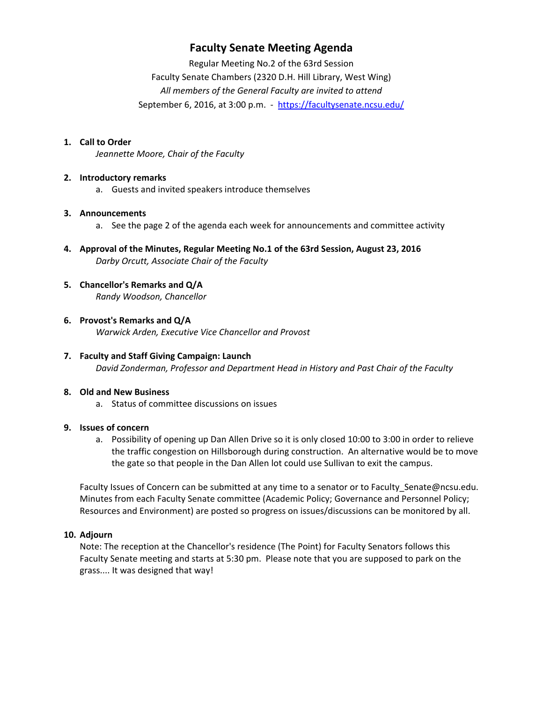## **Faculty Senate Meeting Agenda**

Regular Meeting No.2 of the 63rd Session Faculty Senate Chambers (2320 D.H. Hill Library, West Wing) *All members of the General Faculty are invited to attend* September 6, 2016, at 3:00 p.m. - https://facultysenate.ncsu.edu/

### **1. Call to Order**

*Jeannette Moore, Chair of the Faculty*

### **2. Introductory remarks**

a. Guests and invited speakers introduce themselves

#### **3. Announcements**

- a. See the page 2 of the agenda each week for announcements and committee activity
- **4. Approval of the Minutes, Regular Meeting No.1 of the 63rd Session, August 23, 2016** *Darby Orcutt, Associate Chair of the Faculty*
- **5. Chancellor's Remarks and Q/A** *Randy Woodson, Chancellor*
- **6. Provost's Remarks and Q/A** *Warwick Arden, Executive Vice Chancellor and Provost*
- **7. Faculty and Staff Giving Campaign: Launch**  *David Zonderman, Professor and Department Head in History and Past Chair of the Faculty*

### **8. Old and New Business**

a. Status of committee discussions on issues

### **9. Issues of concern**

a. Possibility of opening up Dan Allen Drive so it is only closed 10:00 to 3:00 in order to relieve the traffic congestion on Hillsborough during construction. An alternative would be to move the gate so that people in the Dan Allen lot could use Sullivan to exit the campus.

Faculty Issues of Concern can be submitted at any time to a senator or to Faculty\_Senate@ncsu.edu. Minutes from each Faculty Senate committee (Academic Policy; Governance and Personnel Policy; Resources and Environment) are posted so progress on issues/discussions can be monitored by all.

### **10. Adjourn**

Note: The reception at the Chancellor's residence (The Point) for Faculty Senators follows this Faculty Senate meeting and starts at 5:30 pm. Please note that you are supposed to park on the grass.... It was designed that way!